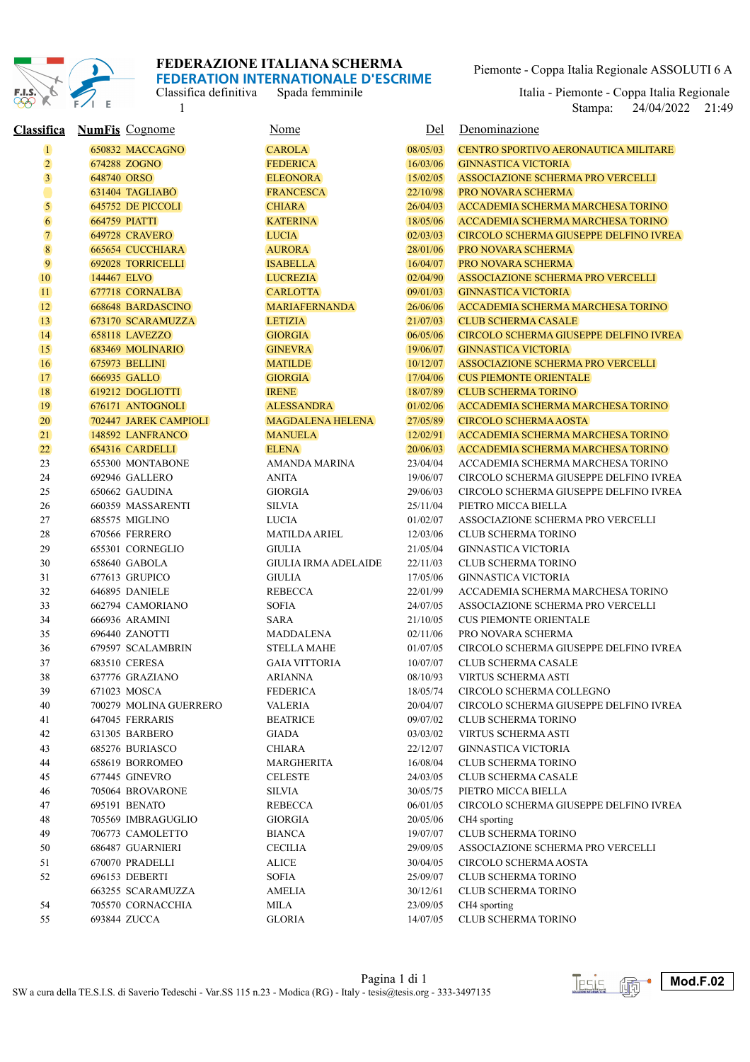

Classifica definitiva Spada femminile<br>1

Piemonte - Coppa Italia Regionale ASSOLUTI 6 A

1 24/04/2022 21:49 Italia - Piemonte - Coppa Italia Regionale<br>Stampa: 24/04/2022 21:49

| <u>Classifica</u>       | <b>NumFis</b> Cognome    | <u>Nome</u>                 | Del      | Denominazione                                 |
|-------------------------|--------------------------|-----------------------------|----------|-----------------------------------------------|
| $\overline{\mathbf{1}}$ | 650832 MACCAGNO          | <b>CAROLA</b>               | 08/05/03 | CENTRO SPORTIVO AERONAUTICA MILITARE          |
| $\overline{2}$          | 674288 ZOGNO             | <b>FEDERICA</b>             | 16/03/06 | <b>GINNASTICA VICTORIA</b>                    |
| $\overline{\mathbf{3}}$ | 648740 ORSO              | <b>ELEONORA</b>             | 15/02/05 | <b>ASSOCIAZIONE SCHERMA PRO VERCELLI</b>      |
|                         | 631404 TAGLIABO          | <b>FRANCESCA</b>            | 22/10/98 | <b>PRO NOVARA SCHERMA</b>                     |
| 5                       | 645752 DE PICCOLI        | <b>CHIARA</b>               | 26/04/03 | ACCADEMIA SCHERMA MARCHESA TORINO             |
| $\overline{6}$          | <b>664759 PIATTI</b>     | <b>KATERINA</b>             | 18/05/06 | ACCADEMIA SCHERMA MARCHESA TORINO             |
| $\overline{7}$          | <b>649728 CRAVERO</b>    | <b>LUCIA</b>                | 02/03/03 | <b>CIRCOLO SCHERMA GIUSEPPE DELFINO IVREA</b> |
| $\bf 8$                 | <b>665654 CUCCHIARA</b>  | <b>AURORA</b>               | 28/01/06 | <b>PRO NOVARA SCHERMA</b>                     |
| 9                       | <b>692028 TORRICELLI</b> | <b>ISABELLA</b>             | 16/04/07 | <b>PRO NOVARA SCHERMA</b>                     |
| 10                      | 144467 ELVO              | <b>LUCREZIA</b>             | 02/04/90 | ASSOCIAZIONE SCHERMA PRO VERCELLI             |
| 11                      | 677718 CORNALBA          | <b>CARLOTTA</b>             | 09/01/03 | <b>GINNASTICA VICTORIA</b>                    |
| 12                      | 668648 BARDASCINO        | <b>MARIAFERNANDA</b>        | 26/06/06 | ACCADEMIA SCHERMA MARCHESA TORINO             |
| 13                      | 673170 SCARAMUZZA        | <b>LETIZIA</b>              | 21/07/03 | <b>CLUB SCHERMA CASALE</b>                    |
| 14                      | 658118 LAVEZZO           | <b>GIORGIA</b>              | 06/05/06 | CIRCOLO SCHERMA GIUSEPPE DELFINO IVREA        |
| 15                      | 683469 MOLINARIO         | <b>GINEVRA</b>              | 19/06/07 | <b>GINNASTICA VICTORIA</b>                    |
| 16                      | 675973 BELLINI           | <b>MATILDE</b>              | 10/12/07 | <b>ASSOCIAZIONE SCHERMA PRO VERCELLI</b>      |
| 17                      | 666935 GALLO             | <b>GIORGIA</b>              | 17/04/06 | <b>CUS PIEMONTE ORIENTALE</b>                 |
| 18                      | 619212 DOGLIOTTI         | <b>IRENE</b>                | 18/07/89 | <b>CLUB SCHERMA TORINO</b>                    |
| 19                      | 676171 ANTOGNOLI         | <b>ALESSANDRA</b>           | 01/02/06 | ACCADEMIA SCHERMA MARCHESA TORINO             |
| 20                      | 702447 JAREK CAMPIOLI    | <b>MAGDALENA HELENA</b>     | 27/05/89 | <b>CIRCOLO SCHERMA AOSTA</b>                  |
| 21                      | 148592 LANFRANCO         | <b>MANUELA</b>              | 12/02/91 | <b>ACCADEMIA SCHERMA MARCHESA TORINO</b>      |
| 22                      | 654316 CARDELLI          | <b>ELENA</b>                | 20/06/03 | ACCADEMIA SCHERMA MARCHESA TORINO             |
| 23                      | 655300 MONTABONE         | AMANDA MARINA               | 23/04/04 | ACCADEMIA SCHERMA MARCHESA TORINO             |
| 24                      | 692946 GALLERO           | <b>ANITA</b>                | 19/06/07 | CIRCOLO SCHERMA GIUSEPPE DELFINO IVREA        |
| 25                      | 650662 GAUDINA           | <b>GIORGIA</b>              | 29/06/03 | CIRCOLO SCHERMA GIUSEPPE DELFINO IVREA        |
| 26                      | 660359 MASSARENTI        | <b>SILVIA</b>               | 25/11/04 | PIETRO MICCA BIELLA                           |
| 27                      | 685575 MIGLINO           | <b>LUCIA</b>                | 01/02/07 | ASSOCIAZIONE SCHERMA PRO VERCELLI             |
| 28                      | 670566 FERRERO           | <b>MATILDA ARIEL</b>        | 12/03/06 | <b>CLUB SCHERMA TORINO</b>                    |
| 29                      | 655301 CORNEGLIO         | <b>GIULIA</b>               | 21/05/04 | <b>GINNASTICA VICTORIA</b>                    |
| 30                      | 658640 GABOLA            | <b>GIULIA IRMA ADELAIDE</b> | 22/11/03 | <b>CLUB SCHERMA TORINO</b>                    |
| 31                      | 677613 GRUPICO           | <b>GIULIA</b>               | 17/05/06 | <b>GINNASTICA VICTORIA</b>                    |
| 32                      | 646895 DANIELE           | <b>REBECCA</b>              | 22/01/99 | ACCADEMIA SCHERMA MARCHESA TORINO             |
| 33                      | 662794 CAMORIANO         | SOFIA                       | 24/07/05 | ASSOCIAZIONE SCHERMA PRO VERCELLI             |
| 34                      | 666936 ARAMINI           | SARA                        | 21/10/05 | <b>CUS PIEMONTE ORIENTALE</b>                 |
| 35                      | 696440 ZANOTTI           | MADDALENA                   | 02/11/06 | PRO NOVARA SCHERMA                            |
| 36                      | 679597 SCALAMBRIN        | <b>STELLA MAHE</b>          | 01/07/05 | CIRCOLO SCHERMA GIUSEPPE DELFINO IVREA        |
| 37                      | 683510 CERESA            | <b>GAIA VITTORIA</b>        | 10/07/07 | <b>CLUB SCHERMA CASALE</b>                    |
| 38                      | 637776 GRAZIANO          | <b>ARIANNA</b>              | 08/10/93 | <b>VIRTUS SCHERMA ASTI</b>                    |
| 39                      | 671023 MOSCA             | FEDERICA                    | 18/05/74 | CIRCOLO SCHERMA COLLEGNO                      |
| 40                      | 700279 MOLINA GUERRERO   | <b>VALERIA</b>              | 20/04/07 | CIRCOLO SCHERMA GIUSEPPE DELFINO IVREA        |
| 41                      | 647045 FERRARIS          | <b>BEATRICE</b>             | 09/07/02 | <b>CLUB SCHERMA TORINO</b>                    |
| 42                      | 631305 BARBERO           | GIADA                       | 03/03/02 | VIRTUS SCHERMA ASTI                           |
| 43                      | 685276 BURIASCO          | CHIARA                      | 22/12/07 | GINNASTICA VICTORIA                           |
| 44                      | 658619 BORROMEO          | <b>MARGHERITA</b>           | 16/08/04 | <b>CLUB SCHERMA TORINO</b>                    |
| 45                      | 677445 GINEVRO           | CELESTE                     | 24/03/05 | <b>CLUB SCHERMA CASALE</b>                    |
| 46                      | 705064 BROVARONE         | <b>SILVIA</b>               | 30/05/75 | PIETRO MICCA BIELLA                           |
| 47                      | 695191 BENATO            | <b>REBECCA</b>              | 06/01/05 | CIRCOLO SCHERMA GIUSEPPE DELFINO IVREA        |
| 48                      | 705569 IMBRAGUGLIO       | GIORGIA                     | 20/05/06 | CH4 sporting                                  |
| 49                      | 706773 CAMOLETTO         | <b>BIANCA</b>               | 19/07/07 | <b>CLUB SCHERMA TORINO</b>                    |
| 50                      | 686487 GUARNIERI         | <b>CECILIA</b>              | 29/09/05 | ASSOCIAZIONE SCHERMA PRO VERCELLI             |
| 51                      | 670070 PRADELLI          | <b>ALICE</b>                | 30/04/05 | CIRCOLO SCHERMA AOSTA                         |
| 52                      | 696153 DEBERTI           | <b>SOFIA</b>                | 25/09/07 | <b>CLUB SCHERMA TORINO</b>                    |
|                         | 663255 SCARAMUZZA        | AMELIA                      | 30/12/61 | CLUB SCHERMA TORINO                           |
| 54                      | 705570 CORNACCHIA        | <b>MILA</b>                 | 23/09/05 | CH4 sporting                                  |
| 55                      | 693844 ZUCCA             | <b>GLORIA</b>               | 14/07/05 | CLUB SCHERMA TORINO                           |

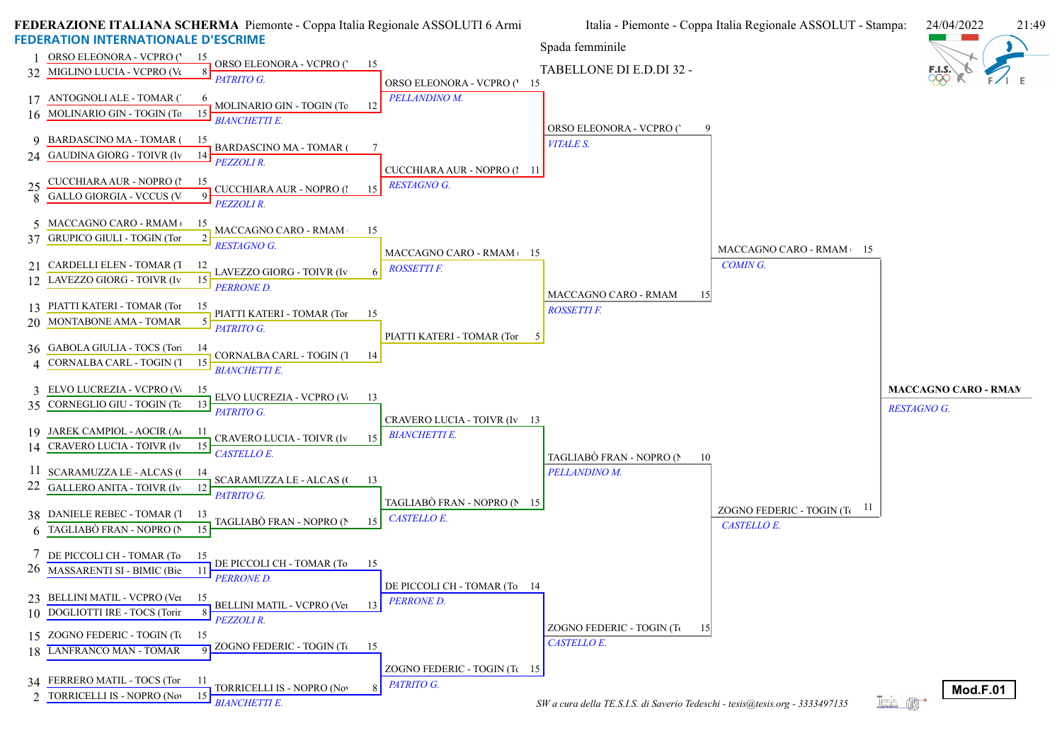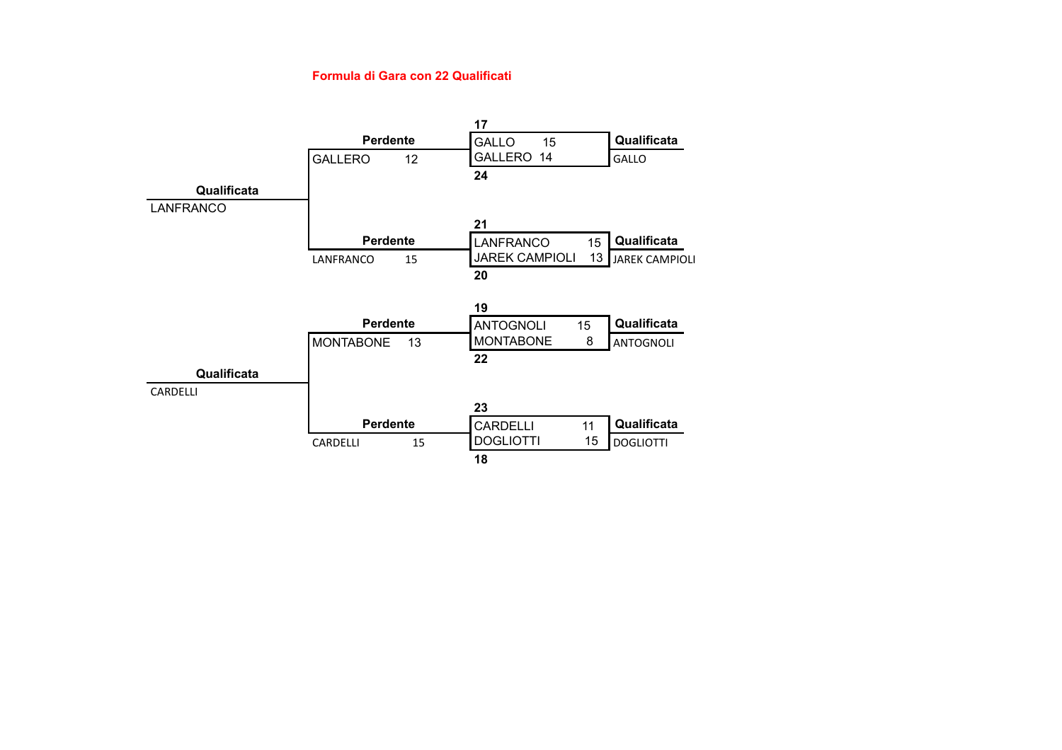#### **Formula di Gara con 22 Qualificati**

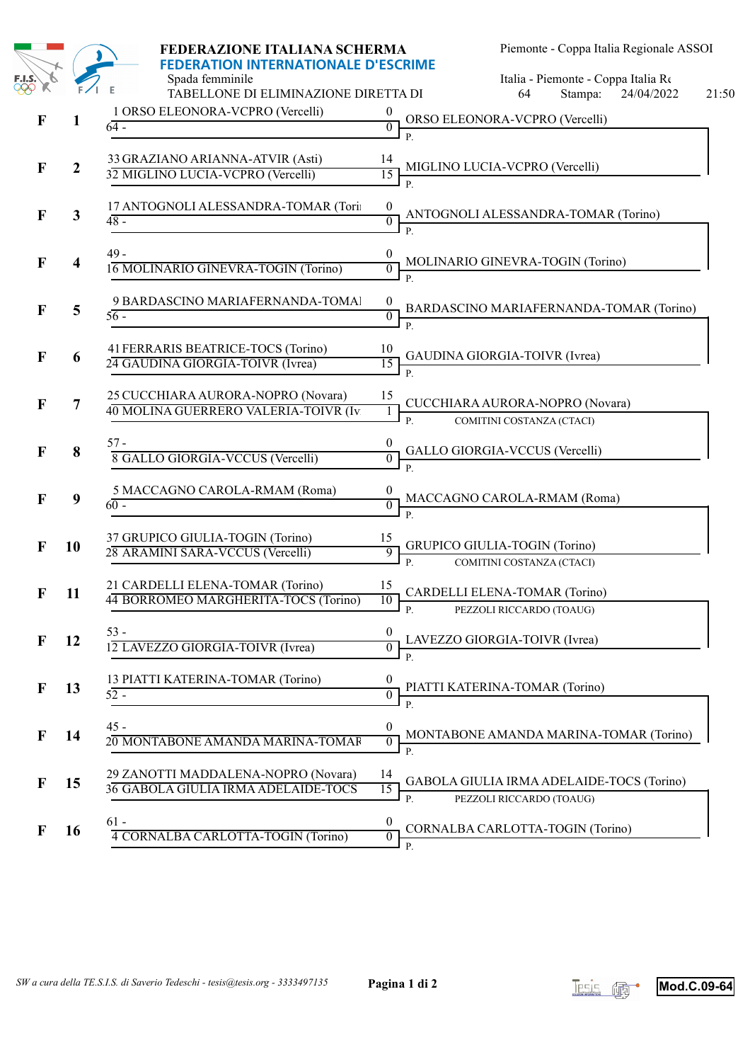|              |                  | FEDERAZIONE ITALIANA SCHERMA                                                                          |                                                        | Piemonte - Coppa Italia Regionale ASSOI                               |                     |
|--------------|------------------|-------------------------------------------------------------------------------------------------------|--------------------------------------------------------|-----------------------------------------------------------------------|---------------------|
|              |                  | <b>FEDERATION INTERNATIONALE D'ESCRIME</b><br>Spada femminile<br>TABELLONE DI ELIMINAZIONE DIRETTA DI |                                                        | Italia - Piemonte - Coppa Italia Re<br>Stampa:<br>64                  | 24/04/2022<br>21:50 |
| F            | 1                | 1 ORSO ELEONORA-VCPRO (Vercelli)<br>$64 -$                                                            | 0<br>$\overline{0}$<br>$\mathbf{P}$                    | ORSO ELEONORA-VCPRO (Vercelli)                                        |                     |
| F            | $\boldsymbol{2}$ | 33 GRAZIANO ARIANNA-ATVIR (Asti)<br>32 MIGLINO LUCIA-VCPRO (Vercelli)                                 | 14<br>15<br>$P$ .                                      | MIGLINO LUCIA-VCPRO (Vercelli)                                        |                     |
| $\mathbf F$  | 3                | 17 ANTOGNOLI ALESSANDRA-TOMAR (Tori:<br>$48 -$                                                        | $\boldsymbol{0}$<br>$\overline{0}$<br>$\mathbf{P}$     | ANTOGNOLI ALESSANDRA-TOMAR (Torino)                                   |                     |
| F            | 4                | $49 -$<br>16 MOLINARIO GINEVRA-TOGIN (Torino)                                                         | $\overline{0}$                                         | MOLINARIO GINEVRA-TOGIN (Torino)                                      |                     |
| F            | 5                | 9 BARDASCINO MARIAFERNANDA-TOMAl<br>$56 -$                                                            | $\boldsymbol{0}$<br>$\overline{0}$<br>$\overline{P}$ . | BARDASCINO MARIAFERNANDA-TOMAR (Torino)                               |                     |
| F            | 6                | 41 FERRARIS BEATRICE-TOCS (Torino)<br>24 GAUDINA GIORGIA-TOIVR (Ivrea)                                | 10<br>15<br>P.                                         | GAUDINA GIORGIA-TOIVR (Ivrea)                                         |                     |
| $\mathbf F$  | 7                | 25 CUCCHIARA AURORA-NOPRO (Novara)<br>40 MOLINA GUERRERO VALERIA-TOIVR (Iv.                           | 15<br>$\mathbf{1}$<br>P.                               | CUCCHIARA AURORA-NOPRO (Novara)<br>COMITINI COSTANZA (CTACI)          |                     |
| F            | 8                | $57 -$<br>8 GALLO GIORGIA-VCCUS (Vercelli)                                                            | $\overline{0}$<br>$\mathbf{P}$                         | GALLO GIORGIA-VCCUS (Vercelli)                                        |                     |
| F            | $\boldsymbol{9}$ | 5 MACCAGNO CAROLA-RMAM (Roma)<br>$60 -$                                                               | $\overline{0}$<br>P                                    | MACCAGNO CAROLA-RMAM (Roma)                                           |                     |
| F            | 10               | 37 GRUPICO GIULIA-TOGIN (Torino)<br>28 ARAMINI SARA-VCCUS (Vercelli)                                  | 15<br>9<br>P.                                          | GRUPICO GIULIA-TOGIN (Torino)<br>COMITINI COSTANZA (CTACI)            |                     |
| F            | 11               | 21 CARDELLI ELENA-TOMAR (Torino)<br>44 BORROMEO MARGHERITA-TOCS (Torino)                              | 15<br>10<br>P.                                         | CARDELLI ELENA-TOMAR (Torino)<br>PEZZOLI RICCARDO (TOAUG)             |                     |
| $\mathbf{F}$ | 12               | $53 -$<br>12 LAVEZZO GIORGIA-TOIVR (Ivrea)                                                            | $\boldsymbol{0}$<br>$P$ .                              | LAVEZZO GIORGIA-TOIVR (Ivrea)                                         |                     |
| $\mathbf F$  | 13               | 13 PIATTI KATERINA-TOMAR (Torino)<br>$52 -$                                                           | 0<br>$\boldsymbol{0}$<br>$\mathbf{P}$                  | PIATTI KATERINA-TOMAR (Torino)                                        |                     |
| F            | 14               | $45 -$<br>20 MONTABONE AMANDA MARINA-TOMAR                                                            | $\theta$<br>$\overline{0}$<br><b>P.</b>                | MONTABONE AMANDA MARINA-TOMAR (Torino)                                |                     |
| F            | 15               | 29 ZANOTTI MADDALENA-NOPRO (Novara)<br>36 GABOLA GIULIA IRMA ADELAIDE-TOCS                            | 14<br>15<br>P.                                         | GABOLA GIULIA IRMA ADELAIDE-TOCS (Torino)<br>PEZZOLI RICCARDO (TOAUG) |                     |
| F            | 16               | $61 -$<br>4 CORNALBA CARLOTTA-TOGIN (Torino)                                                          | $\boldsymbol{0}$<br>$\overline{0}$<br>P.               | CORNALBA CARLOTTA-TOGIN (Torino)                                      |                     |



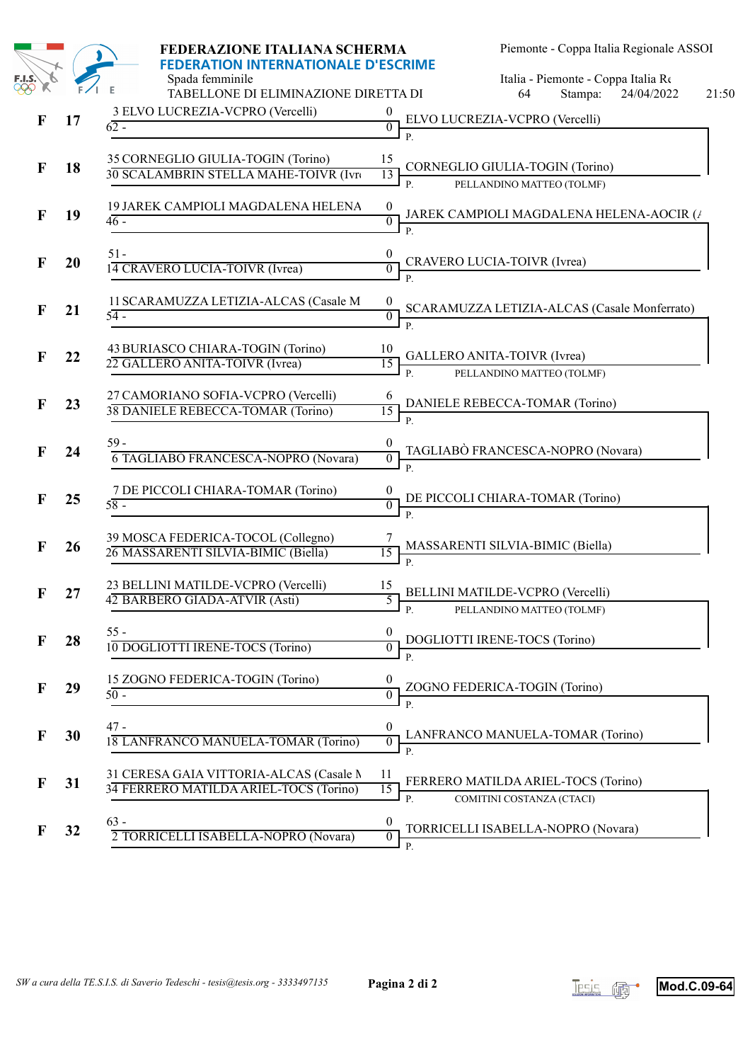|              |    | FEDERAZIONE ITALIANA SCHERMA                                                                          |                                            | Piemonte - Coppa Italia Regionale ASSOI                          |                     |
|--------------|----|-------------------------------------------------------------------------------------------------------|--------------------------------------------|------------------------------------------------------------------|---------------------|
|              |    | <b>FEDERATION INTERNATIONALE D'ESCRIME</b><br>Spada femminile<br>TABELLONE DI ELIMINAZIONE DIRETTA DI |                                            | Italia - Piemonte - Coppa Italia Re<br>Stampa:<br>64             | 24/04/2022<br>21:50 |
| $\mathbf{F}$ | 17 | 3 ELVO LUCREZIA-VCPRO (Vercelli)<br>$62 -$                                                            | $\overline{0}$                             | ELVO LUCREZIA-VCPRO (Vercelli)                                   |                     |
| $\mathbf F$  | 18 | 35 CORNEGLIO GIULIA-TOGIN (Torino)<br>30 SCALAMBRIN STELLA MAHE-TOIVR (Ivre                           | 15<br>13<br>$P$ .                          | CORNEGLIO GIULIA-TOGIN (Torino)<br>PELLANDINO MATTEO (TOLMF)     |                     |
| F            | 19 | 19 JAREK CAMPIOLI MAGDALENA HELENA<br>$46 -$                                                          | $\boldsymbol{0}$<br>$\overline{0}$         | JAREK CAMPIOLI MAGDALENA HELENA-AOCIR $(\Lambda)$                |                     |
| $\mathbf F$  | 20 | $51-$<br>14 CRAVERO LUCIA-TOIVR (Ivrea)                                                               | $\frac{0}{0}$ CRAVERO LUCIA-TOIVR (Ivrea)  |                                                                  |                     |
| F            | 21 | 11 SCARAMUZZA LETIZIA-ALCAS (Casale M<br>$54-$                                                        | $\boldsymbol{0}$<br>$\overline{0}$         | SCARAMUZZA LETIZIA-ALCAS (Casale Monferrato)<br>P.               |                     |
| F            | 22 | 43 BURIASCO CHIARA-TOGIN (Torino)<br>22 GALLERO ANITA-TOIVR (Ivrea)                                   | 10<br>15<br>$P_{1}$                        | GALLERO ANITA-TOIVR (Ivrea)<br>PELLANDINO MATTEO (TOLMF)         |                     |
| $\mathbf F$  | 23 | 27 CAMORIANO SOFIA-VCPRO (Vercelli)<br>38 DANIELE REBECCA-TOMAR (Torino)                              | 15<br>$\overline{P}$                       | DANIELE REBECCA-TOMAR (Torino)                                   |                     |
| F            | 24 | 59 -<br>6 TAGLIABO FRANCESCA-NOPRO (Novara)                                                           | $\overline{0}$                             | TAGLIABÒ FRANCESCA-NOPRO (Novara)                                |                     |
| $\mathbf F$  | 25 | 7 DE PICCOLI CHIARA-TOMAR (Torino)<br>$58 -$                                                          | $\overline{0}$                             | DE PICCOLI CHIARA-TOMAR (Torino)                                 |                     |
| $\mathbf F$  | 26 | 39 MOSCA FEDERICA-TOCOL (Collegno)<br>26 MASSARENTI SILVIA-BIMIC (Biella)                             | $\overline{15}$                            | MASSARENTI SILVIA-BIMIC (Biella)                                 |                     |
| F            | 27 | 23 BELLINI MATILDE-VCPRO (Vercelli)<br>42 BARBERO GIADA-ATVIR (Asti)                                  | 15<br>5<br>P.                              | BELLINI MATILDE-VCPRO (Vercelli)<br>PELLANDINO MATTEO (TOLMF)    |                     |
| F            | 28 | $55 -$<br>10 DOGLIOTTI IRENE-TOCS (Torino)                                                            | 0<br>$\boldsymbol{0}$<br>$\overline{P}$    | DOGLIOTTI IRENE-TOCS (Torino)                                    |                     |
| $\mathbf F$  | 29 | 15 ZOGNO FEDERICA-TOGIN (Torino)<br>$50 -$                                                            | 0<br>$\theta$<br>$\mathbf{P}$              | ZOGNO FEDERICA-TOGIN (Torino)                                    |                     |
| $\mathbf F$  | 30 | $47 -$<br>18 LANFRANCO MANUELA-TOMAR (Torino)                                                         | $\theta$<br>$\overline{0}$<br>$\mathbf{P}$ | LANFRANCO MANUELA-TOMAR (Torino)                                 |                     |
| F            | 31 | 31 CERESA GAIA VITTORIA-ALCAS (Casale N<br>34 FERRERO MATILDA ARIEL-TOCS (Torino)                     | 11<br>15<br>P.                             | FERRERO MATILDA ARIEL-TOCS (Torino)<br>COMITINI COSTANZA (CTACI) |                     |
| F            | 32 | $63 -$<br>2 TORRICELLI ISABELLA-NOPRO (Novara)                                                        | $\boldsymbol{0}$<br>$\overline{0}$<br>P.   | TORRICELLI ISABELLA-NOPRO (Novara)                               |                     |



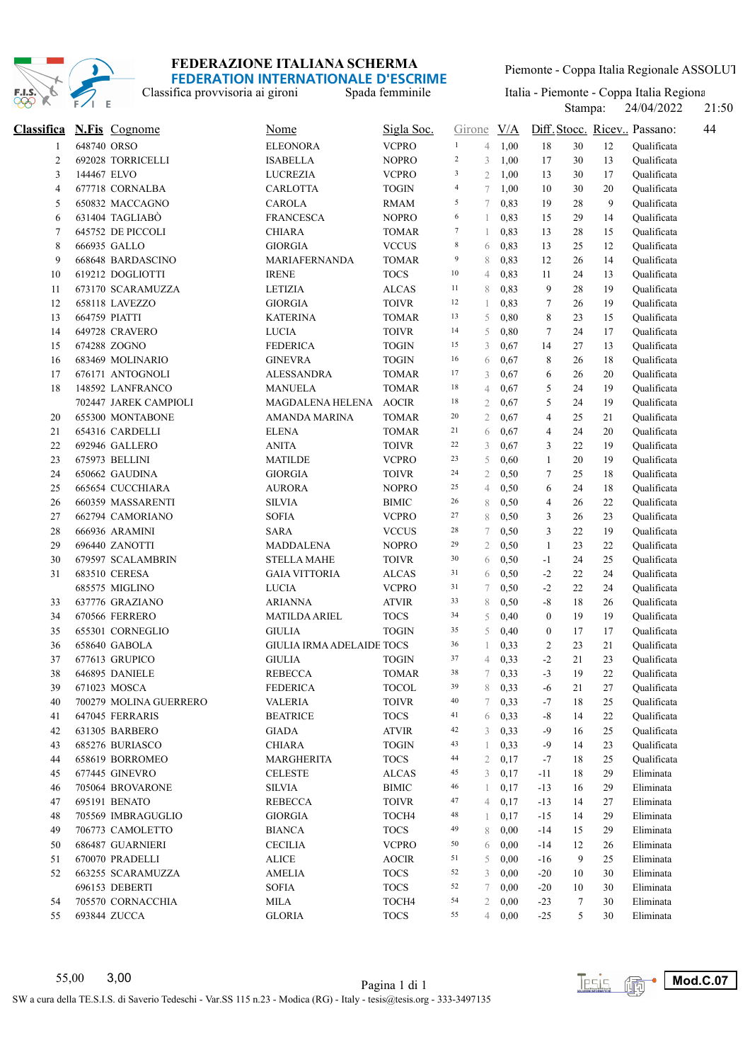

Classifica provvisoria ai gironi

Piemonte - Coppa Italia Regionale ASSOLUTI

Stampa: 24/04/2022 21:50 Spada femminile Italia - Piemonte - Coppa Italia Regiona<br>Stampa: 24/04/2022 21:50

| <b>Classifica</b>       |             | <b>N.Fis</b> Cognome   | Nome                             | Sigla Soc.   | Girone         |                | $\underline{V/A}$ |                  |    |    | Diff. Stocc. Ricev Passano:<br>44 |
|-------------------------|-------------|------------------------|----------------------------------|--------------|----------------|----------------|-------------------|------------------|----|----|-----------------------------------|
| 1                       | 648740 ORSO |                        | <b>ELEONORA</b>                  | <b>VCPRO</b> | $\mathbf{1}$   | $\overline{4}$ | 1,00              | 18               | 30 | 12 | Oualificata                       |
| $\overline{\mathbf{c}}$ |             | 692028 TORRICELLI      | <b>ISABELLA</b>                  | <b>NOPRO</b> | $\sqrt{2}$     | 3              | 1,00              | 17               | 30 | 13 | Qualificata                       |
| 3                       | 144467 ELVO |                        | <b>LUCREZIA</b>                  | <b>VCPRO</b> | $\sqrt{3}$     | $\mathfrak{2}$ | 1,00              | 13               | 30 | 17 | Qualificata                       |
| 4                       |             | 677718 CORNALBA        | <b>CARLOTTA</b>                  | <b>TOGIN</b> | $\overline{4}$ | $\tau$         | 1,00              | 10               | 30 | 20 | Qualificata                       |
| 5                       |             | 650832 MACCAGNO        | <b>CAROLA</b>                    | RMAM         | 5              | 7              | 0,83              | 19               | 28 | 9  | Qualificata                       |
| 6                       |             | 631404 TAGLIABÒ        | <b>FRANCESCA</b>                 | <b>NOPRO</b> | 6              | 1              | 0,83              | 15               | 29 | 14 | Qualificata                       |
| 7                       |             | 645752 DE PICCOLI      | <b>CHIARA</b>                    | <b>TOMAR</b> | $\tau$         | 1              | 0,83              | 13               | 28 | 15 | Qualificata                       |
| 8                       |             | 666935 GALLO           | <b>GIORGIA</b>                   | <b>VCCUS</b> | $\,$ 8 $\,$    | 6              | 0,83              | 13               | 25 | 12 | Qualificata                       |
| 9                       |             | 668648 BARDASCINO      | MARIAFERNANDA                    | <b>TOMAR</b> | 9              | 8              | 0,83              | 12               | 26 | 14 | Qualificata                       |
| 10                      |             | 619212 DOGLIOTTI       | <b>IRENE</b>                     | <b>TOCS</b>  | $10\,$         | 4              | 0,83              | 11               | 24 | 13 | Oualificata                       |
| 11                      |             | 673170 SCARAMUZZA      | <b>LETIZIA</b>                   | <b>ALCAS</b> | 11             | 8              | 0,83              | 9                | 28 | 19 | Qualificata                       |
| 12                      |             | 658118 LAVEZZO         | <b>GIORGIA</b>                   | <b>TOIVR</b> | 12             | 1              | 0,83              | 7                | 26 | 19 | Qualificata                       |
| 13                      |             | 664759 PIATTI          | <b>KATERINA</b>                  | <b>TOMAR</b> | 13             | 5              | 0,80              | 8                | 23 | 15 | Qualificata                       |
| 14                      |             | 649728 CRAVERO         | <b>LUCIA</b>                     | <b>TOIVR</b> | 14             | 5              | 0,80              | 7                | 24 | 17 | Qualificata                       |
| 15                      |             | 674288 ZOGNO           | <b>FEDERICA</b>                  | <b>TOGIN</b> | 15             | 3              | 0,67              | 14               | 27 | 13 | Qualificata                       |
| 16                      |             | 683469 MOLINARIO       | <b>GINEVRA</b>                   | <b>TOGIN</b> | 16             | 6              | 0,67              | 8                | 26 | 18 | Qualificata                       |
| 17                      |             | 676171 ANTOGNOLI       | <b>ALESSANDRA</b>                | <b>TOMAR</b> | 17             | 3              | 0,67              | 6                | 26 | 20 | Qualificata                       |
| 18                      |             | 148592 LANFRANCO       | MANUELA                          | <b>TOMAR</b> | 18             | $\overline{4}$ | 0,67              | 5                | 24 | 19 | Qualificata                       |
|                         |             | 702447 JAREK CAMPIOLI  | MAGDALENA HELENA                 | <b>AOCIR</b> | 18             | $\mathfrak{2}$ | 0,67              | 5                | 24 | 19 | Qualificata                       |
| 20                      |             | 655300 MONTABONE       | AMANDA MARINA                    | <b>TOMAR</b> | 20             | $\mathfrak{2}$ | 0,67              | 4                | 25 | 21 | Qualificata                       |
| 21                      |             | 654316 CARDELLI        | <b>ELENA</b>                     | <b>TOMAR</b> | 21             | 6              | 0,67              | 4                | 24 | 20 | Qualificata                       |
| 22                      |             | 692946 GALLERO         | <b>ANITA</b>                     | <b>TOIVR</b> | 22             | 3              | 0,67              | 3                | 22 | 19 | Qualificata                       |
| 23                      |             | 675973 BELLINI         | <b>MATILDE</b>                   | <b>VCPRO</b> | 23             | 5              | 0,60              | $\mathbf{1}$     | 20 | 19 | Qualificata                       |
| 24                      |             | 650662 GAUDINA         | <b>GIORGIA</b>                   | <b>TOIVR</b> | 24             | $\overline{2}$ | 0,50              | 7                | 25 | 18 | Qualificata                       |
| 25                      |             | 665654 CUCCHIARA       | <b>AURORA</b>                    | <b>NOPRO</b> | 25             | $\overline{4}$ | 0,50              | 6                | 24 | 18 | Qualificata                       |
| 26                      |             | 660359 MASSARENTI      | <b>SILVIA</b>                    | <b>BIMIC</b> | 26             | 8              | 0,50              | 4                | 26 | 22 | Qualificata                       |
| 27                      |             | 662794 CAMORIANO       | <b>SOFIA</b>                     | <b>VCPRO</b> | 27             | 8              | 0,50              | 3                | 26 | 23 | Qualificata                       |
| 28                      |             | 666936 ARAMINI         | <b>SARA</b>                      | <b>VCCUS</b> | 28             | 7              | 0,50              | 3                | 22 | 19 | Qualificata                       |
| 29                      |             | 696440 ZANOTTI         | <b>MADDALENA</b>                 | <b>NOPRO</b> | 29             | $\mathfrak{2}$ | 0,50              | $\mathbf{1}$     | 23 | 22 | Qualificata                       |
| 30                      |             | 679597 SCALAMBRIN      | <b>STELLA MAHE</b>               | <b>TOIVR</b> | 30             | 6              | 0,50              | $-1$             | 24 | 25 | Qualificata                       |
| 31                      |             | 683510 CERESA          | <b>GAIA VITTORIA</b>             | ALCAS        | 31             | 6              | 0,50              | $-2$             | 22 | 24 | Qualificata                       |
|                         |             | 685575 MIGLINO         | <b>LUCIA</b>                     | <b>VCPRO</b> | 31             | 7              | 0,50              | $-2$             | 22 | 24 | Qualificata                       |
| 33                      |             | 637776 GRAZIANO        | ARIANNA                          | <b>ATVIR</b> | 33             | 8              | 0,50              | $\mbox{-}8$      | 18 | 26 | Qualificata                       |
| 34                      |             | 670566 FERRERO         | <b>MATILDA ARIEL</b>             | <b>TOCS</b>  | 34             | 5              | 0,40              | $\boldsymbol{0}$ | 19 | 19 | Qualificata                       |
| 35                      |             | 655301 CORNEGLIO       | <b>GIULIA</b>                    | <b>TOGIN</b> | 35             | 5              | 0,40              | $\bf{0}$         | 17 | 17 | Qualificata                       |
| 36                      |             | 658640 GABOLA          | <b>GIULIA IRMA ADELAIDE TOCS</b> |              | 36             | 1              | 0,33              | 2                | 23 | 21 | Qualificata                       |
| 37                      |             | 677613 GRUPICO         | <b>GIULIA</b>                    | <b>TOGIN</b> | 37             | $\overline{4}$ | 0,33              | $-2$             | 21 | 23 | Qualificata                       |
| 38                      |             | 646895 DANIELE         | <b>REBECCA</b>                   | TOMAR        | 38             | 7              | 0,33              | $-3$             | 19 | 22 | Qualificata                       |
| 39                      |             | 671023 MOSCA           | <b>FEDERICA</b>                  | <b>TOCOL</b> | 39             |                | $8\quad 0,33$     | $-6$             | 21 | 27 | Qualificata                       |
| 40                      |             | 700279 MOLINA GUERRERO | VALERIA                          | <b>TOIVR</b> | 40             | 7              | 0,33              | -7               | 18 | 25 | Qualificata                       |
| 41                      |             | 647045 FERRARIS        | <b>BEATRICE</b>                  | <b>TOCS</b>  | 41             | 6              | 0,33              | $-8$             | 14 | 22 | Qualificata                       |
| 42                      |             | 631305 BARBERO         | <b>GIADA</b>                     | <b>ATVIR</b> | 42             | 3              | 0,33              | -9               | 16 | 25 | Qualificata                       |
| 43                      |             | 685276 BURIASCO        | <b>CHIARA</b>                    | <b>TOGIN</b> | 43             |                | 0,33              | -9               | 14 | 23 | Qualificata                       |
| 44                      |             | 658619 BORROMEO        | <b>MARGHERITA</b>                | <b>TOCS</b>  | 44             | 2              | 0,17              | -7               | 18 | 25 | Qualificata                       |
| 45                      |             | 677445 GINEVRO         | <b>CELESTE</b>                   | <b>ALCAS</b> | 45             | 3              | 0,17              | -11              | 18 | 29 | Eliminata                         |
| 46                      |             | 705064 BROVARONE       | <b>SILVIA</b>                    | <b>BIMIC</b> | 46             | 1              | 0,17              | $-13$            | 16 | 29 | Eliminata                         |
| 47                      |             | 695191 BENATO          | <b>REBECCA</b>                   | <b>TOIVR</b> | 47             | 4              | 0,17              | $-13$            | 14 | 27 | Eliminata                         |
| 48                      |             | 705569 IMBRAGUGLIO     | <b>GIORGIA</b>                   | TOCH4        | 48             | 1              | 0,17              | $-15$            | 14 | 29 | Eliminata                         |
| 49                      |             | 706773 CAMOLETTO       | <b>BIANCA</b>                    | <b>TOCS</b>  | 49             | 8              | 0,00              | $-14$            | 15 | 29 | Eliminata                         |
| 50                      |             | 686487 GUARNIERI       | <b>CECILIA</b>                   | <b>VCPRO</b> | 50             | 6              | 0,00              | $-14$            | 12 | 26 | Eliminata                         |
| 51                      |             | 670070 PRADELLI        | <b>ALICE</b>                     | <b>AOCIR</b> | 51             | 5              | 0,00              | $-16$            | 9  | 25 | Eliminata                         |
| 52                      |             | 663255 SCARAMUZZA      | AMELIA                           | <b>TOCS</b>  | 52             | 3              | 0,00              | $-20$            | 10 | 30 | Eliminata                         |
|                         |             | 696153 DEBERTI         | <b>SOFIA</b>                     | <b>TOCS</b>  | 52             | 7              | 0,00              | $-20$            | 10 | 30 | Eliminata                         |
| 54                      |             | 705570 CORNACCHIA      | MILA                             | TOCH4        | 54             | 2              | 0,00              | $-23$            | 7  | 30 | Eliminata                         |
|                         |             | 693844 ZUCCA           | <b>GLORIA</b>                    | <b>TOCS</b>  | 55             |                | 40,00             |                  |    | 30 | Eliminata                         |
| 55                      |             |                        |                                  |              |                |                |                   | $-25$            | 5  |    |                                   |

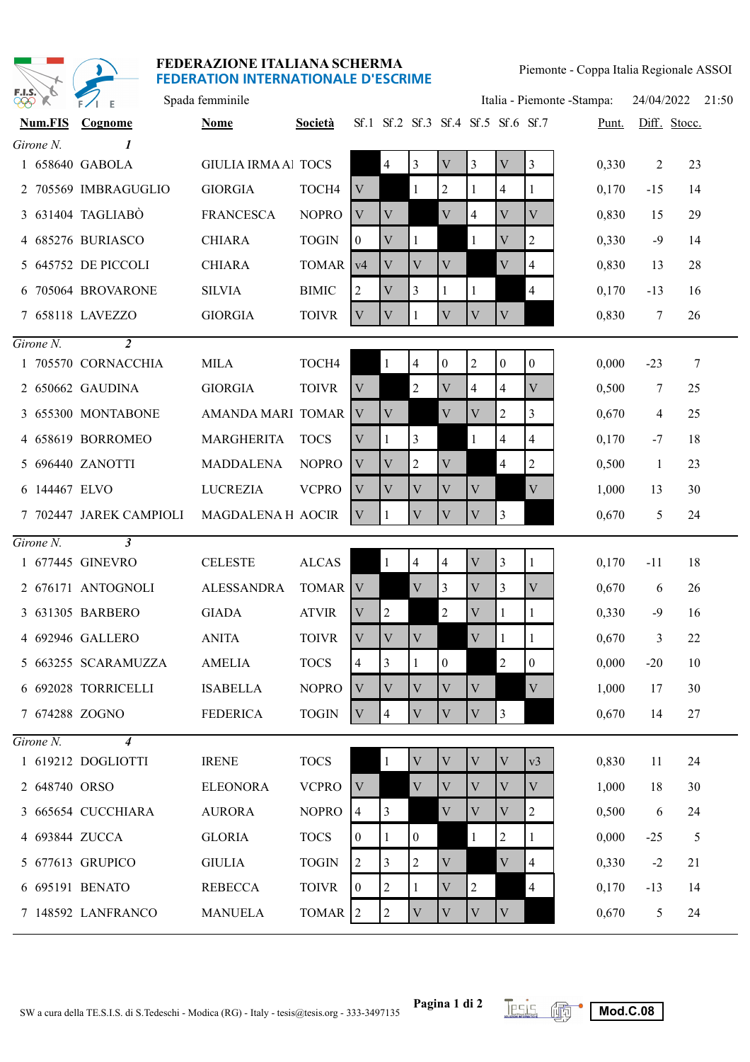| F.I.S. |  |
|--------|--|

Piemonte - Coppa Italia Regionale ASSOI

| $\frac{1}{2}$<br>O. | $F/I$ E                 | Spada femminile           |                |                           | Italia - Piemonte - Stampa: |                         |                           |                |                                    |                           |       | 24/04/2022   |              | 21:50 |
|---------------------|-------------------------|---------------------------|----------------|---------------------------|-----------------------------|-------------------------|---------------------------|----------------|------------------------------------|---------------------------|-------|--------------|--------------|-------|
| <b>Num.FIS</b>      | Cognome                 | <b>Nome</b>               | <b>Società</b> |                           |                             |                         |                           |                | Sf.1 Sf.2 Sf.3 Sf.4 Sf.5 Sf.6 Sf.7 |                           | Punt. |              | Diff. Stocc. |       |
| Girone N.           | $\boldsymbol{l}$        |                           |                |                           |                             |                         |                           |                |                                    |                           |       |              |              |       |
|                     | 1 658640 GABOLA         | <b>GIULIA IRMAAl TOCS</b> |                |                           | $\overline{4}$              | $\overline{3}$          | $\mathbf V$               | 3              | $\mathbf{V}$                       | $\overline{3}$            | 0,330 | 2            | 23           |       |
|                     | 2 705569 IMBRAGUGLIO    | <b>GIORGIA</b>            | TOCH4          | $\mathbf V$               |                             | 1                       | $\overline{c}$            |                | 4                                  | 1                         | 0,170 | $-15$        | 14           |       |
|                     | 3 631404 TAGLIABO       | <b>FRANCESCA</b>          | <b>NOPRO</b>   | V                         | V                           |                         | V                         | 4              | V                                  | $\rm V$                   | 0,830 | 15           | 29           |       |
|                     | 4 685276 BURIASCO       | <b>CHIARA</b>             | <b>TOGIN</b>   | $\overline{0}$            | $\ensuremath{\mathbf{V}}$   | 1                       |                           | 1              | V                                  | $\overline{2}$            | 0,330 | $-9$         | 14           |       |
|                     | 5 645752 DE PICCOLI     | <b>CHIARA</b>             | <b>TOMAR</b>   | v4                        | V                           | $\mathbf{V}$            | $\mathbf{V}$              |                | V                                  | 4                         | 0,830 | 13           | 28           |       |
|                     | 6 705064 BROVARONE      | <b>SILVIA</b>             | <b>BIMIC</b>   | 2                         | V                           | 3                       | 1                         | 1              |                                    | $\overline{4}$            | 0,170 | $-13$        | 16           |       |
|                     | 7 658118 LAVEZZO        | <b>GIORGIA</b>            | <b>TOIVR</b>   | V                         | V                           | 1                       | $\mathbf{V}$              | $\rm V$        | $\mathbf{V}$                       |                           | 0,830 | 7            | 26           |       |
| $Girone N$ .        | $\overline{2}$          |                           |                |                           |                             |                         |                           |                |                                    |                           |       |              |              |       |
|                     | 1 705570 CORNACCHIA     | <b>MILA</b>               | TOCH4          |                           | $\mathbf{1}$                | $\overline{4}$          | $\mathbf{0}$              | $\overline{c}$ | $\boldsymbol{0}$                   | $\mathbf{0}$              | 0,000 | $-23$        | 7            |       |
|                     | 2 650662 GAUDINA        | <b>GIORGIA</b>            | <b>TOIVR</b>   | V                         |                             | $\overline{c}$          | V                         | 4              | 4                                  | V                         | 0,500 | 7            | 25           |       |
|                     | 3 655300 MONTABONE      | AMANDA MARI TOMAR         |                | V                         | $\mathbf{V}$                |                         | $\mathbf{V}$              | V              | 2                                  | 3                         | 0,670 | 4            | 25           |       |
|                     | 4 658619 BORROMEO       | <b>MARGHERITA</b>         | <b>TOCS</b>    | V                         |                             | $\mathfrak{Z}$          |                           | $\mathbf{1}$   | $\overline{4}$                     | 4                         | 0,170 | $-7$         | 18           |       |
|                     | 5 696440 ZANOTTI        | <b>MADDALENA</b>          | <b>NOPRO</b>   | V                         | V                           | $\overline{c}$          | V                         |                | 4                                  | $\overline{2}$            | 0,500 | $\mathbf{1}$ | 23           |       |
| 6 144467 ELVO       |                         | <b>LUCREZIA</b>           | <b>VCPRO</b>   | V                         | V                           | $\mathbf{V}$            | V                         | V              |                                    | V                         | 1,000 | 13           | 30           |       |
|                     | 7 702447 JAREK CAMPIOLI | MAGDALENAH AOCIR          |                | V                         |                             | $\mathbf{V}$            | $\mathbf{V}$              | $\mathbf{V}$   | 3                                  |                           | 0,670 | 5            | 24           |       |
| $Girone N$ .        | $\mathbf{3}$            |                           |                |                           |                             |                         |                           |                |                                    |                           |       |              |              |       |
|                     | 1 677445 GINEVRO        | <b>CELESTE</b>            | <b>ALCAS</b>   |                           | $\mathbf{1}$                | $\overline{4}$          | 4                         | V              | 3                                  | 1                         | 0,170 | $-11$        | 18           |       |
|                     | 2 676171 ANTOGNOLI      | <b>ALESSANDRA</b>         | <b>TOMAR</b>   | V                         |                             | $\mathbf{V}$            | 3                         | $\mathbf V$    | 3                                  | $\ensuremath{\mathbf{V}}$ | 0,670 | 6            | 26           |       |
|                     | 3 631305 BARBERO        | <b>GIADA</b>              | <b>ATVIR</b>   | V                         | $\overline{2}$              |                         | $\overline{c}$            | V              |                                    | 1                         | 0,330 | $-9$         | 16           |       |
|                     | 4 692946 GALLERO        | <b>ANITA</b>              | <b>TOIVR</b>   | V                         | V                           | V                       |                           | V              |                                    | 1                         | 0,670 | 3            | 22           |       |
|                     | 5 663255 SCARAMUZZA     | <b>AMELIA</b>             | <b>TOCS</b>    | 4                         | $\overline{3}$              | 1                       | $\overline{0}$            |                | $\overline{2}$                     | $\boldsymbol{0}$          | 0,000 | $-20$        | 10           |       |
|                     | 6 692028 TORRICELLI     | <b>ISABELLA</b>           | <b>NOPRO</b>   | $\mathbf V$               | V                           | $\mathbf V$             | $\ensuremath{\mathbf{V}}$ | $\mathbf V$    |                                    | $\mathbf V$               | 1,000 | 17           | 30           |       |
| 7 674288 ZOGNO      |                         | <b>FEDERICA</b>           | <b>TOGIN</b>   | V                         | $\overline{4}$              | V                       | V                         | V              | 3                                  |                           | 0,670 | 14           | 27           |       |
| $Girone N$ .        | $\boldsymbol{4}$        |                           |                |                           |                             |                         |                           |                |                                    |                           |       |              |              |       |
|                     | 1 619212 DOGLIOTTI      | <b>IRENE</b>              | <b>TOCS</b>    |                           | $\mathbf{1}$                | $\ensuremath{\text{V}}$ | $\ensuremath{\mathbf{V}}$ | $\mathbf V$    | $\ensuremath{\mathbf{V}}$          | v3                        | 0,830 | 11           | 24           |       |
| 2 648740 ORSO       |                         | <b>ELEONORA</b>           | <b>VCPRO</b>   | $\ensuremath{\mathbf{V}}$ |                             | $\mathbf V$             | $\mathbf V$               | $\mathbf V$    | V                                  | V                         | 1,000 | 18           | 30           |       |
|                     | 3 665654 CUCCHIARA      | <b>AURORA</b>             | <b>NOPRO</b>   | $\overline{4}$            | $\overline{3}$              |                         | V                         | V              | V                                  | $\overline{2}$            | 0,500 | 6            | 24           |       |
| 4 693844 ZUCCA      |                         | <b>GLORIA</b>             | <b>TOCS</b>    | $\overline{0}$            | 1                           | $\mathbf{0}$            |                           | $\mathbf{1}$   | 2                                  | -1                        | 0,000 | $-25$        | 5            |       |
|                     | 5 677613 GRUPICO        | <b>GIULIA</b>             | <b>TOGIN</b>   | $\sqrt{2}$                | $\mathfrak{Z}$              | $\sqrt{2}$              | $\ensuremath{\text{V}}$   |                | $\mathbf{V}$                       | 4                         | 0,330 | $-2$         | 21           |       |
|                     | 6 695191 BENATO         | <b>REBECCA</b>            | <b>TOIVR</b>   | $\boldsymbol{0}$          | $\overline{2}$              | 1                       | $\ensuremath{\mathbf{V}}$ | 2              |                                    | $\overline{4}$            | 0,170 | $-13$        | 14           |       |
|                     | 7 148592 LANFRANCO      | <b>MANUELA</b>            | TOMAR          | 2                         | $\overline{2}$              | $\mathbf V$             | $\mathbf V$               | $\mathbf V$    | $\ensuremath{\mathbf{V}}$          |                           | 0,670 | 5            | 24           |       |

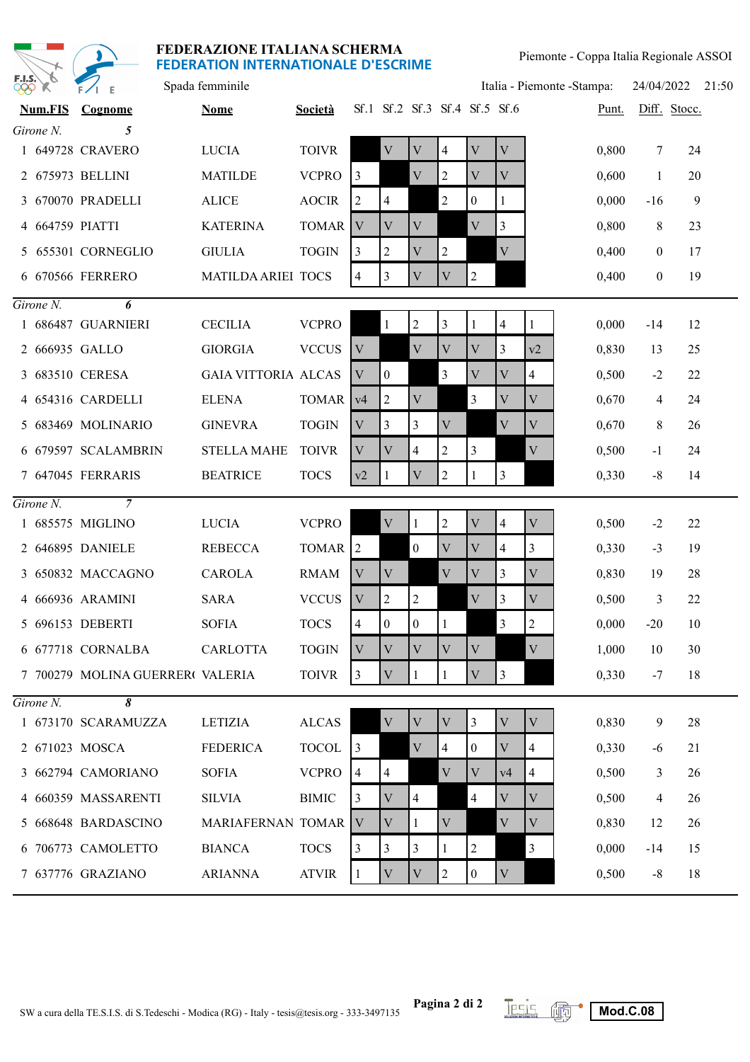

| <b>PPP</b> | $\frac{1}{2}$<br>O,              | $F/I$ E                          | Spada femminile            |                    |                           |                |                  |                               |                  |                | Italia - Piemonte - Stampa: |       | 24/04/2022   |              | 21:50 |
|------------|----------------------------------|----------------------------------|----------------------------|--------------------|---------------------------|----------------|------------------|-------------------------------|------------------|----------------|-----------------------------|-------|--------------|--------------|-------|
|            | <b>Num.FIS</b>                   | Cognome                          | <b>Nome</b>                | <b>Società</b>     |                           |                |                  | Sf.1 Sf.2 Sf.3 Sf.4 Sf.5 Sf.6 |                  |                |                             | Punt. |              | Diff. Stocc. |       |
|            | Girone N.                        | 5                                |                            |                    |                           |                |                  |                               |                  |                |                             |       |              |              |       |
|            |                                  | 1 649728 CRAVERO                 | <b>LUCIA</b>               | <b>TOIVR</b>       |                           | V              | V                | $\overline{4}$                | V                | V              |                             | 0,800 | 7            | 24           |       |
|            |                                  | 2 675973 BELLINI                 | <b>MATILDE</b>             | <b>VCPRO</b>       | $\vert$ 3                 |                | V                | 2                             | V                | V              |                             | 0,600 | 1            | 20           |       |
|            |                                  | 3 670070 PRADELLI                | <b>ALICE</b>               | <b>AOCIR</b>       | 2                         | 4              |                  | $\overline{c}$                | $\boldsymbol{0}$ | 1              |                             | 0,000 | $-16$        | 9            |       |
|            | 4 664759 PIATTI                  |                                  | <b>KATERINA</b>            | TOMAR V            |                           | V              | V                |                               | V                | $\overline{3}$ |                             | 0,800 | 8            | 23           |       |
|            |                                  | 5 655301 CORNEGLIO               | <b>GIULIA</b>              | <b>TOGIN</b>       | 3                         | 2              | V                | $\overline{c}$                |                  | V              |                             | 0,400 | $\mathbf{0}$ | 17           |       |
|            |                                  | 6 670566 FERRERO                 | <b>MATILDA ARIEI TOCS</b>  |                    | 4                         | 3              | V                | $\rm V$                       | $\overline{2}$   |                |                             | 0,400 | $\mathbf{0}$ | 19           |       |
|            | $G$ <i>irone <math>N</math>.</i> | 6                                |                            |                    |                           |                |                  |                               |                  |                |                             |       |              |              |       |
|            |                                  | 1 686487 GUARNIERI               | <b>CECILIA</b>             | <b>VCPRO</b>       |                           | $\mathbf{1}$   | $\overline{2}$   | $\overline{3}$                | 1                | $\overline{4}$ | 1                           | 0,000 | $-14$        | 12           |       |
|            |                                  | 2 666935 GALLO                   | <b>GIORGIA</b>             | <b>VCCUS</b>       | V                         |                | $\mathbf{V}$     | $\ensuremath{\mathbf{V}}$     | V                | 3              | v2                          | 0,830 | 13           | 25           |       |
|            |                                  | 3 683510 CERESA                  | <b>GAIA VITTORIA ALCAS</b> |                    | V                         | $\mathbf{0}$   |                  | 3                             | $\mathbf V$      | V              | 4                           | 0,500 | $-2$         | 22           |       |
|            |                                  | 4 654316 CARDELLI                | <b>ELENA</b>               | TOMAR v4           |                           | 2              | V                |                               | 3                | V              | V                           | 0,670 | 4            | 24           |       |
|            |                                  | 5 683469 MOLINARIO               | <b>GINEVRA</b>             | <b>TOGIN</b>       | V                         | 3              | 3                | $\mathbf{V}$                  |                  | V              | $\mathbf{V}$                | 0,670 | 8            | 26           |       |
|            |                                  | 6 679597 SCALAMBRIN              | <b>STELLA MAHE</b>         | <b>TOIVR</b>       | V                         | V              | 4                | 2                             | 3                |                | $\rm V$                     | 0,500 | $-1$         | 24           |       |
|            |                                  | 7 647045 FERRARIS                | <b>BEATRICE</b>            | <b>TOCS</b>        | v2                        | 1              | $\rm V$          | 2                             | 1                | 3              |                             | 0,330 | $-8$         | 14           |       |
|            | Girone N.                        | $\overline{7}$                   |                            |                    |                           |                |                  |                               |                  |                |                             |       |              |              |       |
|            |                                  | 1 685575 MIGLINO                 | <b>LUCIA</b>               | <b>VCPRO</b>       |                           | $\mathbf{V}$   | 1                | $\mathfrak{2}$                | $\mathbf{V}$     | $\overline{4}$ | $\mathbf{V}$                | 0,500 | $-2$         | 22           |       |
|            |                                  | 2 646895 DANIELE                 | <b>REBECCA</b>             | TOMAR <sup>2</sup> |                           |                | 0                | V                             | V                | 4              | 3                           | 0,330 | $-3$         | 19           |       |
|            |                                  | 3 650832 MACCAGNO                | <b>CAROLA</b>              | <b>RMAM</b>        | V                         | V              |                  | $\mathbf{V}$                  | V                | 3              | V                           | 0,830 | 19           | 28           |       |
|            |                                  | 4 666936 ARAMINI                 | <b>SARA</b>                | <b>VCCUS</b>       | $\ensuremath{\mathbf{V}}$ | 2              | 2                |                               | V                | 3              | $\ensuremath{\mathbf{V}}$   | 0,500 | 3            | 22           |       |
|            |                                  | 5 696153 DEBERTI                 | <b>SOFIA</b>               | <b>TOCS</b>        | 4                         | $\overline{0}$ | $\boldsymbol{0}$ | 1                             |                  | 3              | $\overline{c}$              | 0,000 | $-20$        | 10           |       |
|            |                                  | 6 677718 CORNALBA                | <b>CARLOTTA</b>            | <b>TOGIN</b>       | $\overline{\mathbf{V}}$   | V              | V                | $\mathbf{V}$                  | V                |                | V                           | 1,000 | 10           | 30           |       |
|            |                                  | 7 700279 MOLINA GUERRER( VALERIA |                            | <b>TOIVR</b>       | $\overline{3}$            | $\mathbf V$    |                  | $\mathbf{1}$                  | $\mathbf V$      | $\overline{3}$ |                             | 0,330 | $-7$         | 18           |       |
|            | $Girone N$ .                     | 8                                |                            |                    |                           |                |                  |                               |                  |                |                             |       |              |              |       |
|            |                                  | 1 673170 SCARAMUZZA              | LETIZIA                    | <b>ALCAS</b>       |                           | V              | V                | V                             | $\mathfrak{Z}$   | V              | V                           | 0,830 | 9            | 28           |       |
|            |                                  | 2 671023 MOSCA                   | <b>FEDERICA</b>            | <b>TOCOL</b>       | $\vert$ 3                 |                | V                | $\overline{4}$                | $\mathbf{0}$     | V              | 4                           | 0,330 | $-6$         | 21           |       |
|            |                                  | 3 662794 CAMORIANO               | <b>SOFIA</b>               | <b>VCPRO</b>       | 4                         | 4              |                  | $\ensuremath{\mathbf{V}}$     | $\mathbf V$      | v4             | 4                           | 0,500 | 3            | 26           |       |
|            |                                  | 4 660359 MASSARENTI              | <b>SILVIA</b>              | <b>BIMIC</b>       | 3                         | V              | 4                |                               | 4                | V              | V                           | 0,500 | 4            | 26           |       |
|            |                                  | 5 668648 BARDASCINO              | MARIAFERNAN TOMAR V        |                    |                           | V              |                  | $\mathbf V$                   |                  | V              | $\mathbf V$                 | 0,830 | 12           | 26           |       |
|            |                                  | 6 706773 CAMOLETTO               | <b>BIANCA</b>              | <b>TOCS</b>        | 3                         | 3              | 3                |                               | $\overline{2}$   |                | 3                           | 0,000 | $-14$        | 15           |       |
|            |                                  | 7 637776 GRAZIANO                | <b>ARIANNA</b>             | <b>ATVIR</b>       |                           | V              | V                | 2                             | $\boldsymbol{0}$ | V              |                             | 0,500 | $-8$         | 18           |       |

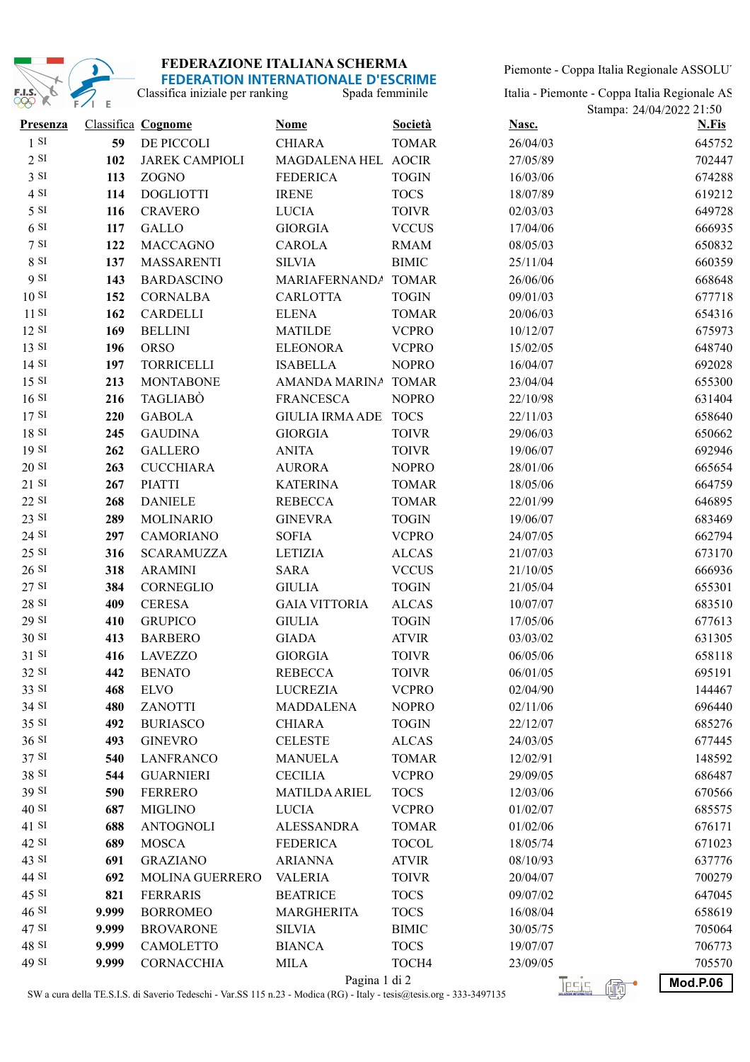

Piemonte - Coppa Italia Regionale ASSOLUT

| <u>I LULIVATIVIN INTENNATIVINALE D'EJS</u> |            |
|--------------------------------------------|------------|
| Classifica iniziale per ranking            | Spada femn |

| Italia - Piemonte - Coppa Italia Regionale AS |  |
|-----------------------------------------------|--|
| Stampa: 24/04/2022 21:50                      |  |

| Presenza          |       | <b>Classifica Cognome</b> | <b>Nome</b>                 | <b>Società</b> | Nasc.      | <b>N.Fis</b>    |
|-------------------|-------|---------------------------|-----------------------------|----------------|------------|-----------------|
| 1 S I             | 59    | DE PICCOLI                | <b>CHIARA</b>               | <b>TOMAR</b>   | 26/04/03   | 645752          |
| 2 S I             | 102   | <b>JAREK CAMPIOLI</b>     | MAGDALENA HEL AOCIR         |                | 27/05/89   | 702447          |
| 3 S I             | 113   | ZOGNO                     | <b>FEDERICA</b>             | <b>TOGIN</b>   | 16/03/06   | 674288          |
| 4 SI              | 114   | <b>DOGLIOTTI</b>          | <b>IRENE</b>                | <b>TOCS</b>    | 18/07/89   | 619212          |
| 5 S <sub>I</sub>  | 116   | <b>CRAVERO</b>            | <b>LUCIA</b>                | <b>TOIVR</b>   | 02/03/03   | 649728          |
| 6S1               | 117   | <b>GALLO</b>              | <b>GIORGIA</b>              | <b>VCCUS</b>   | 17/04/06   | 666935          |
| 7 S I             | 122   | <b>MACCAGNO</b>           | <b>CAROLA</b>               | <b>RMAM</b>    | 08/05/03   | 650832          |
| 8 SI              | 137   | <b>MASSARENTI</b>         | <b>SILVIA</b>               | <b>BIMIC</b>   | 25/11/04   | 660359          |
| 9 SI              | 143   | <b>BARDASCINO</b>         | MARIAFERNANDA TOMAR         |                | 26/06/06   | 668648          |
| 10S               | 152   | <b>CORNALBA</b>           | <b>CARLOTTA</b>             | <b>TOGIN</b>   | 09/01/03   | 677718          |
| 11S               | 162   | CARDELLI                  | <b>ELENA</b>                | <b>TOMAR</b>   | 20/06/03   | 654316          |
| 12 S I            | 169   | <b>BELLINI</b>            | <b>MATILDE</b>              | <b>VCPRO</b>   | 10/12/07   | 675973          |
| 13 S <sub>I</sub> | 196   | <b>ORSO</b>               | <b>ELEONORA</b>             | <b>VCPRO</b>   | 15/02/05   | 648740          |
| 14S               | 197   | <b>TORRICELLI</b>         | <b>ISABELLA</b>             | <b>NOPRO</b>   | 16/04/07   | 692028          |
| 15 S <sub>I</sub> | 213   | <b>MONTABONE</b>          | AMANDA MARINA TOMAR         |                | 23/04/04   | 655300          |
| 16S               | 216   | TAGLIABÒ                  | <b>FRANCESCA</b>            | <b>NOPRO</b>   | 22/10/98   | 631404          |
| 17S               | 220   | <b>GABOLA</b>             | <b>GIULIA IRMA ADE TOCS</b> |                | 22/11/03   | 658640          |
| 18S               | 245   | <b>GAUDINA</b>            | <b>GIORGIA</b>              | <b>TOIVR</b>   | 29/06/03   | 650662          |
| 19S               | 262   | <b>GALLERO</b>            | <b>ANITA</b>                | <b>TOIVR</b>   | 19/06/07   | 692946          |
| 20S               | 263   | <b>CUCCHIARA</b>          | <b>AURORA</b>               | <b>NOPRO</b>   | 28/01/06   | 665654          |
| $21$ SI           | 267   | <b>PIATTI</b>             | <b>KATERINA</b>             | <b>TOMAR</b>   | 18/05/06   | 664759          |
| 22 SI             | 268   | <b>DANIELE</b>            | <b>REBECCA</b>              | <b>TOMAR</b>   | 22/01/99   | 646895          |
| 23 SI             | 289   | <b>MOLINARIO</b>          | <b>GINEVRA</b>              | <b>TOGIN</b>   | 19/06/07   | 683469          |
| 24 SI             | 297   | <b>CAMORIANO</b>          | <b>SOFIA</b>                | <b>VCPRO</b>   | 24/07/05   | 662794          |
| 25 SI             | 316   | <b>SCARAMUZZA</b>         | <b>LETIZIA</b>              | <b>ALCAS</b>   | 21/07/03   | 673170          |
| 26S               | 318   | <b>ARAMINI</b>            | <b>SARA</b>                 | <b>VCCUS</b>   | 21/10/05   | 666936          |
| 27 SI             | 384   | CORNEGLIO                 | <b>GIULIA</b>               | <b>TOGIN</b>   | 21/05/04   | 655301          |
| 28 SI             | 409   | <b>CERESA</b>             | <b>GAIA VITTORIA</b>        | <b>ALCAS</b>   | 10/07/07   | 683510          |
| 29 SI             | 410   | <b>GRUPICO</b>            | <b>GIULIA</b>               | <b>TOGIN</b>   | 17/05/06   | 677613          |
| 30 SI             | 413   | <b>BARBERO</b>            | <b>GIADA</b>                | <b>ATVIR</b>   | 03/03/02   | 631305          |
| 31 SI             | 416   | <b>LAVEZZO</b>            | <b>GIORGIA</b>              | <b>TOIVR</b>   | 06/05/06   | 658118          |
| 32 SI             | 442   | <b>BENATO</b>             | <b>REBECCA</b>              | <b>TOIVR</b>   | 06/01/05   | 695191          |
| 33 SI             | 468   | <b>ELVO</b>               | <b>LUCREZIA</b>             | <b>VCPRO</b>   | 02/04/90   | 144467          |
| 34 SI             | 480   | ZANOTTI                   | <b>MADDALENA</b>            | <b>NOPRO</b>   | 02/11/06   | 696440          |
| 35 SI             | 492   | <b>BURIASCO</b>           | <b>CHIARA</b>               | <b>TOGIN</b>   | 22/12/07   | 685276          |
| 36 SI             | 493   | <b>GINEVRO</b>            | <b>CELESTE</b>              | <b>ALCAS</b>   | 24/03/05   | 677445          |
| 37 SI             | 540   | <b>LANFRANCO</b>          | <b>MANUELA</b>              | <b>TOMAR</b>   | 12/02/91   | 148592          |
| 38 SI             | 544   | <b>GUARNIERI</b>          | <b>CECILIA</b>              | <b>VCPRO</b>   | 29/09/05   | 686487          |
| 39 SI             | 590   | <b>FERRERO</b>            | <b>MATILDA ARIEL</b>        | <b>TOCS</b>    | 12/03/06   | 670566          |
| 40 SI             | 687   | <b>MIGLINO</b>            | <b>LUCIA</b>                | <b>VCPRO</b>   | 01/02/07   | 685575          |
| 41 SI             | 688   | <b>ANTOGNOLI</b>          | <b>ALESSANDRA</b>           | <b>TOMAR</b>   | 01/02/06   | 676171          |
| 42 SI             | 689   | <b>MOSCA</b>              | <b>FEDERICA</b>             | <b>TOCOL</b>   | 18/05/74   | 671023          |
| 43 SI             | 691   | <b>GRAZIANO</b>           | <b>ARIANNA</b>              | <b>ATVIR</b>   | 08/10/93   | 637776          |
| 44 SI             | 692   | MOLINA GUERRERO           | <b>VALERIA</b>              | <b>TOIVR</b>   | 20/04/07   | 700279          |
| 45 SI             | 821   | <b>FERRARIS</b>           | <b>BEATRICE</b>             | <b>TOCS</b>    | 09/07/02   | 647045          |
| 46S               | 9.999 | <b>BORROMEO</b>           | <b>MARGHERITA</b>           | <b>TOCS</b>    | 16/08/04   | 658619          |
| 47 SI             | 9.999 | <b>BROVARONE</b>          | <b>SILVIA</b>               | <b>BIMIC</b>   | 30/05/75   | 705064          |
| 48 SI             | 9.999 | <b>CAMOLETTO</b>          | <b>BIANCA</b>               | <b>TOCS</b>    | 19/07/07   | 706773          |
| 49 SI             | 9.999 | <b>CORNACCHIA</b>         | <b>MILA</b>                 | TOCH4          | 23/09/05   | 705570          |
|                   |       |                           | Pagina 1 di 2               |                | Tesis<br>Æ | <b>Mod.P.06</b> |

SW a cura della TE.S.I.S. di Saverio Tedeschi - Var.SS 115 n.23 - Modica (RG) - Italy - tesis@tesis.org - 333-3497135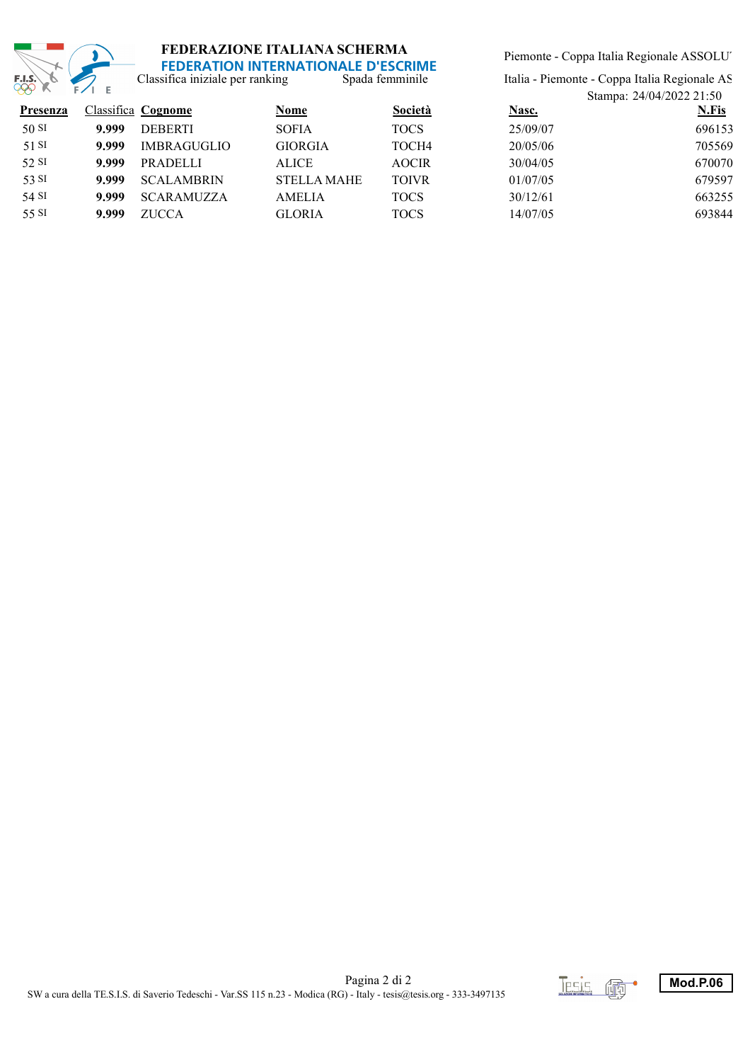

Spada femminile Classifica iniziale per ranking

Piemonte - Coppa Italia Regionale ASSOLUT

Italia - Piemonte - Coppa Italia Regionale AS

| $\mathcal{L} \mathcal{L} \mathcal{L} \mathcal{L} \mathcal{L} \mathcal{L} \mathcal{L} \mathcal{L} \mathcal{L} \mathcal{L} \mathcal{L} \mathcal{L} \mathcal{L} \mathcal{L} \mathcal{L} \mathcal{L} \mathcal{L} \mathcal{L} \mathcal{L} \mathcal{L} \mathcal{L} \mathcal{L} \mathcal{L} \mathcal{L} \mathcal{L} \mathcal{L} \mathcal{L} \mathcal{L} \mathcal{L} \mathcal{L} \mathcal{L} \mathcal{L} \mathcal{L} \mathcal{L} \mathcal{L} \mathcal{L} \mathcal{$ |                    |                    |              |          | Stampa: 24/04/2022 21:50 |  |  |  |
|-------------------------------------------------------------------------------------------------------------------------------------------------------------------------------------------------------------------------------------------------------------------------------------------------------------------------------------------------------------------------------------------------------------------------------------------------------------|--------------------|--------------------|--------------|----------|--------------------------|--|--|--|
|                                                                                                                                                                                                                                                                                                                                                                                                                                                             |                    | Nome               | Società      | Nasc.    | N.Fis                    |  |  |  |
| 9.999                                                                                                                                                                                                                                                                                                                                                                                                                                                       | <b>DEBERTI</b>     | <b>SOFIA</b>       | <b>TOCS</b>  | 25/09/07 | 696153                   |  |  |  |
| 9.999                                                                                                                                                                                                                                                                                                                                                                                                                                                       | <b>IMBRAGUGLIO</b> | <b>GIORGIA</b>     | TOCH4        | 20/05/06 | 705569                   |  |  |  |
| 9.999                                                                                                                                                                                                                                                                                                                                                                                                                                                       | <b>PRADELLI</b>    | <b>ALICE</b>       | <b>AOCIR</b> | 30/04/05 | 670070                   |  |  |  |
| 9.999                                                                                                                                                                                                                                                                                                                                                                                                                                                       | <b>SCALAMBRIN</b>  | <b>STELLA MAHE</b> | <b>TOIVR</b> | 01/07/05 | 679597                   |  |  |  |
| 9.999                                                                                                                                                                                                                                                                                                                                                                                                                                                       | <b>SCARAMUZZA</b>  | <b>AMELIA</b>      | <b>TOCS</b>  | 30/12/61 | 663255                   |  |  |  |
| 9.999                                                                                                                                                                                                                                                                                                                                                                                                                                                       | <b>ZUCCA</b>       | <b>GLORIA</b>      | <b>TOCS</b>  | 14/07/05 | 693844                   |  |  |  |
|                                                                                                                                                                                                                                                                                                                                                                                                                                                             |                    | Classifica Cognome |              |          |                          |  |  |  |